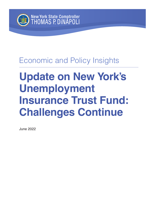

# Economic and Policy Insights

# **Update on New York's Unemployment Insurance Trust Fund: Challenges Continue**

June 2022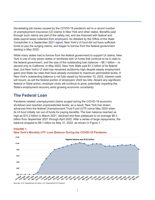<span id="page-1-0"></span>Devastating job losses caused by the COVID-19 pandemic led to a record number of unemployment insurance (UI) claims in New York and other states. Benefits paid through such claims are part of the safety net, and are financed with federal and state payroll taxes collected from employers. As detailed by the Office of the State Comptroller in a September 2021 [report,](https://www.osc.state.ny.us/files/reports/pdf/unemployment-insurance-trust-fund.pdf) New York's UI fund did not have sufficient funds to pay the surging claims, and began to borrow from the federal government starting in May 2020.

While many states had to borrow from the federal government to support UI claims, New York is one of only seven states or territories with UI funds that continue to be in debt to the federal government, and the size of the outstanding loan balance—\$8.1 billion—is second only to California. In May 2022, New York State paid \$1.2 billion of its federal loan, but New York's UI debt has remained stubbornly high despite steady employment gains and State tax rates that have already increased to maximum permissible levels. If New York's outstanding balance is not fully repaid by November 10, 2022, interest costs will mount, as will the federal portion of employers' 2022 tax bills. Absent any significant federal or State action, employer costs will continue to grow, potentially impeding the State's employment recovery amid growing economic uncertainty.

## **The Federal Loan**

Pandemic-related unemployment claims surged during the COVID-19 economic shutdown and reached unprecedented levels; as a result, New York has drawn advances from the federal Unemployment Trust Fund (UTF) since May 2020 when its UI fund initially ran out of funds for paying benefits. The loan balance reached as high as \$10.2 billion in March 2021, declined and then plateaued to an average \$9.3 billion from September 2021 through April 2022. After a series of large repayments, the balance dropped to \$8.[1](#page-6-0) billion by May 31, 2022, as shown in Figure 1.<sup>1</sup>

#### **FIGURE 1**



#### **New York's Monthly UTF Loan Balance During the COVID-19 Pandemic**

Sources: U.S. Department of Labor; U.S. Department of Treasury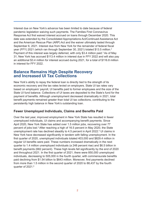<span id="page-2-0"></span>Interest due on New York's advance has been limited to date because of federal pandemic legislation waiving such payments. The Families First Coronavirus Response Act first waived interest accrued on loans through December 2020. This date was extended by the Consolidated Appropriations Act/Continued Assistance Act and the American Rescue Plan (ARP) Act and the waiver ultimately lasted through September 6, 2021. Interest due from New York for the remainder of federal fiscal year (FFY) [2](#page-6-0)021 (which ran through September 30, 2021) totaled \$13.5 million.<sup>2</sup> Payment of this interest was largely deferred, with only \$[3](#page-6-0).4 million paid.<sup>3</sup> As of May 31, New York has accrued \$113.4 million in interest due in FFY 2022 and will also pay an additional \$3.4 million for interest accrued during 2021, for a total of \$116.8 million in interest for FFY 2022.

# **Balance Remains High Despite Recovery and Increased UI Tax Collections**

New York's ability to repay the federal loan is directly tied to the strength of its economic recovery and the tax rates levied on employers. State UI tax rates vary based on employers' payroll, UI benefits paid to former employees and the size of the State UI fund balance. Collections of UI taxes are deposited to the State's fund for the payment of benefits. Although unemployment decreased dramatically in 2021, total benefit payments remained greater than total UI tax collections, contributing to the persistently high balance in New York's outstanding loan.

#### **Fewer Unemployed Individuals, Claims and Benefits Paid**

Over the last year, improved employment in New York State has resulted in fewer unemployed individuals, UI claims and accompanying benefit payments. Since April 2020, New York State has added over 1.5 million jobs, recovering over 77 percent of jobs lost.<sup>4</sup> After reaching a high of 16.5 percent in May 2020, the State unemployment rate has declined steadily to 4[.5](#page-6-0) percent in April 2022.<sup>5</sup> UI claims in New York have decreased significantly in tandem with falling unemployment. In the first quarter of 2020, unemployed individuals totaled 403,000 and \$829.4 million in regular UI benefits were paid. These numbers increased dramatically in the next quarter to 1.4 million unemployed individuals (a 248 percent rise) and \$6.5 billion in benefit payments (682 percent). These high levels fell significantly by the end of 2020 and throughout 2021. In the first quarter of 2021, there were 850,000 unemployed individuals, decreasing to 505,000 in the fourth quarter, with commensurate benefits paid declining from \$1.54 billion to \$643 million. Moreover, first payments declined from more than 1.5 million in the second quarter of 2020 to 88,437 by the fourth quarter of 2021.<sup>[6](#page-6-0)</sup>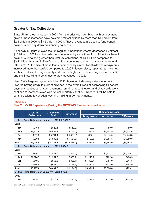#### <span id="page-3-0"></span>**Greater UI Tax Collections**

State UI tax rates increased in 2021 from the prior year; combined with employment growth, these increases have bolstered tax collections by more than 54 percent from \$2.1 billion in 2020 to \$3.2 billion in 2021. These revenues are used to fund benefit payments and pay down outstanding balances.<sup>7</sup>

As shown in Figure 2, even though regular UI benefit payments decreased by almost \$10 billion in 2021 and tax collections increased by more than \$1.1 billion, total benefit payments remained greater than total tax collections, at \$4.4 billion compared to \$3.2 billion. As a result, New York's UI fund continues to draw loans from the federal UTF. In 2021, the size of these loans decreased by almost two-thirds and repayments increased more than tenfold compared to 2020.<sup>8</sup> Nevertheless, repayments have not yet been sufficient to significantly address the high level of borrowing required in 2020 and the State UI fund continues to draw advances in 2022.

New York's large repayments in May 2022, however, indicate greater movement towards paying down its current advance. If the overall trend of decreasing UI benefit payments continues, or such payments remain at recent levels, and UI tax collections continue to increase (even with typical quarterly variation), New York will be able to continue taking fewer advances and making larger repayments.

|                                                     | <b>UI Tax</b><br><b>Collections</b> | <b>UI Benefits</b><br>Paid | <b>Difference</b> | <b>Outstanding Loan</b> |                 |                   |  |  |  |  |
|-----------------------------------------------------|-------------------------------------|----------------------------|-------------------|-------------------------|-----------------|-------------------|--|--|--|--|
|                                                     |                                     |                            |                   | <b>Repayments</b>       | <b>Advances</b> | <b>Difference</b> |  |  |  |  |
| Ul Trust Fund Balance on January 1, 2020: \$2,651.5 |                                     |                            |                   |                         |                 |                   |  |  |  |  |
| 2020                                                |                                     |                            |                   |                         |                 |                   |  |  |  |  |
| 1st                                                 | \$216.5                             | \$829.4                    | (\$613.0)         | \$0.0                   | \$0.0           | \$0.0             |  |  |  |  |
| 2 <sub>nd</sub>                                     | \$1,321.9                           | \$6,488.2                  | (\$5,166.4)       | \$86.9                  | \$3,301.5       | (\$3,214.6)       |  |  |  |  |
| 3rd                                                 | \$317.6                             | \$5,211.4                  | (\$4,893.9)       | \$67.2                  | \$4,814.0       | (\$4,746.8)       |  |  |  |  |
| 4th                                                 | \$220.5                             | \$1,802.3                  | (\$1,581.8)       | \$107.5                 | \$1,387.5       | (\$1,280.0)       |  |  |  |  |
| <b>Total</b>                                        | \$2,076.4                           | \$14,331.4                 | (\$12,255.0)      | \$261.6                 | \$9,503.0       | (\$9,241.4)       |  |  |  |  |
| Ul Trust Fund Balance on January 1, 2021: \$474.6   |                                     |                            |                   |                         |                 |                   |  |  |  |  |
| 2021                                                |                                     |                            |                   |                         |                 |                   |  |  |  |  |
| 1st                                                 | \$176.2                             | \$1,541.7                  | (\$1,365.5)       | \$312.0                 | \$1,317.2       | (\$1,005.2)       |  |  |  |  |
| 2 <sub>nd</sub>                                     | \$1,924.7                           | \$1,251.5                  | \$673.2           | \$1,248.7               | \$762.4         | \$486.3           |  |  |  |  |
| 3rd                                                 | \$640.3                             | \$965.5                    | (\$325.1)         | \$1,396.4               | \$781.9         | \$614.5           |  |  |  |  |
| 4th                                                 | \$466.4                             | \$643.0                    | (\$176.6)         | \$344.1                 | \$533.0         | (\$188.9)         |  |  |  |  |
| <b>Total</b>                                        | \$3,207.6                           | \$4,401.7                  | (\$1,194.0)       | \$3,301.2               | \$3,394.4       | (\$93.2)          |  |  |  |  |
| Ul Trust Fund Balance on January 1, 2022: \$73.8    |                                     |                            |                   |                         |                 |                   |  |  |  |  |
| 2022                                                |                                     |                            |                   |                         |                 |                   |  |  |  |  |
| 1st                                                 | \$425.7                             | \$715.8                    | (\$290.1)         | \$299.1                 | \$574.0         | (\$274.9)         |  |  |  |  |

#### **FIGURE 2**

### **New York's UI Experience During the COVID-19 Pandemic** (in millions)

Source: U.S. Department of Labor, Employment and Training Administration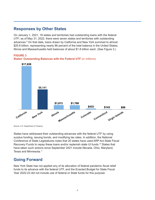# <span id="page-4-0"></span>**Responses by Other States**

On January 1, 2021, 18 states and territories had outstanding loans with the federal UTF; as of May 31, 2022, there were seven states and territories with outstanding advances.<sup>9</sup> On that date, loans drawn by California and New York summed to almost \$25.8 billion, representing nearly 86 percent of the total balance in the United States; Illinois and Massachusetts held balances of about \$1.8 billion each. (See Figure 3.)

**FIGURE 3 States' Outstanding Balances with the Federal UTF** (in millions)



Source: U.S. Department of Treasury

States have addressed their outstanding advances with the federal UTF by using surplus funding, issuing bonds, and modifying tax rates. In addition, the National Conference of State Legislatures notes that 20 states have used ARP Act State Fiscal Recovery Funds to repay these loans and/or replenish state UI funds.<sup>10</sup> States that have taken such actions since September 2021 include Nevada, Ohio, Maryland, Texas and Minnesota.[11](#page-6-0)

# **Going Forward**

New York State has not applied any of its allocation of federal pandemic fiscal relief funds to its advance with the federal UTF, and the Enacted Budget for State Fiscal Year 2022-23 did not include use of federal or State funds for this purpose.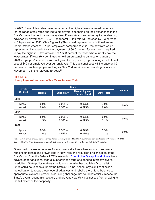<span id="page-5-0"></span>In 2022, State UI tax rates have remained at the highest levels allowed under law for the range of tax rates applied to employers, depending on their experience in the State's unemployment insurance system. If New York does not repay its outstanding advance by November 10, 2022, the federal UI tax rate will increase by 0.3 percent to 0.9 percent for 2022. (See Figure 4.) This would represent an additional annual federal tax payment of \$21 per employee; compared to 2020, the new rate would represent an increase in total tax payments of 30.5 percent for employers required to pay the highest UI tax rates and of 182.3 percent for those who currently pay the lowest rates. If New York continues to hold an outstanding balance on January 1, 2023, employers' federal tax rate will go up to 1.2 percent, representing an additional cost of \$42 per employee over current levels. This additional cost will increase by \$21 per year for each employee as long as New York retains an outstanding balance on November 10 in the relevant tax year.<sup>[12](#page-7-0)</sup>

#### **FIGURE 4 Unemployment Insurance Tax Rates in New York**

| <b>Levels</b> |               |                   |                                             |                    |                |  |
|---------------|---------------|-------------------|---------------------------------------------|--------------------|----------------|--|
| of Rates      | <b>Normal</b> | <b>Subsidiary</b> | <b>Re-employment</b><br><b>Service Fund</b> | <b>State Total</b> | <b>Federal</b> |  |
| 2020          |               |                   |                                             |                    |                |  |
| Highest       | 6.9%          | 0.925%            | 0.075%                                      | 7.9%               | 0.6%           |  |
| Lowest        | $0.0\%$       | 0.525%            | 0.075%                                      | $0.6\%$            |                |  |
| 2021          |               |                   |                                             |                    |                |  |
| Highest       | 8.9%          | 0.925%            | 0.075%                                      | $9.9\%$            | 0.6%           |  |
| Lowest        | 1.5%          | 0.525%            | 0.075%                                      | 2.1%               |                |  |
| 2022          |               |                   |                                             |                    |                |  |
| Highest       | 8.9%          | 0.925%            | 0.075%                                      | $9.9\%$            | 0.9%           |  |
| Lowest        | 1.5%          | 0.525%            | 0.075%                                      | 2.1%               |                |  |

Note: The federal rate for 2022 represents the potential and likely tax rate if the State's outstanding loan is not repaid by November 10, 2022. Sources: New York State Department of Labor; U.S. Department of Treasury; Office of the New York State Comptroller.

Given the increase in tax rates for employers at a time when economic recovery remains uncertain and growth lags in New York, the reduction or elimination of the State's loan from the federal UTF is essential. [Comptroller DiNapoli and others](https://web.osc.state.ny.us/press/docs/unemployment-insurance-trust-letter-states-request.pdf) have advocated for additional federal support in the form of extended interest waivers[.13](#page-7-0) In addition, State policy makers should consider whether available fiscal relief funds could be used to support the State's UI fund. Absent any significant action, the obligation to repay these federal advances and rebuild the UI fund balance to appropriate levels will present a daunting challenge that could potentially impede the State's overall economic recovery and prevent New York businesses from growing to the full extent of their capacity.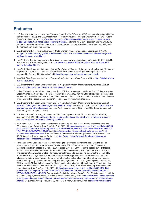# <span id="page-6-0"></span>**Endnotes**

- [1](#page-1-0) U.S. Department of Labor, *New York Historical Loans 2007 February 2022* (Excel spreadsheet provided by staff on April 11, 2022), and U.S. Department of Treasury, *Advances to State Unemployment Funds (Social Security Act Title XII)*, at [https://fiscaldata.treasury.gov/datasets/ssa-title-xii-advance-activities/advances](https://fiscaldata.treasury.gov/datasets/ssa-title-xii-advance-activities/advances-to-state-unemployment-funds-social-security-act-title-xii)[to-state-unemployment-funds-social-security-act-title-xii](https://fiscaldata.treasury.gov/datasets/ssa-title-xii-advance-activities/advances-to-state-unemployment-funds-social-security-act-title-xii). Following the Great Recession and the COVID-19 pandemic, repayments by New York State on its advances from the federal UTF have been much higher in the month of May than other months.
- [2](#page-2-0) U.S. Department of Treasury, *Advances to State Unemployment Funds (Social Security Act Title XII)*, at [https://fiscaldata.treasury.gov/datasets/ssa-title-xii-advance-activities/advances-to-state-unemployment](https://fiscaldata.treasury.gov/datasets/ssa-title-xii-advance-activities/advances-to-state-unemployment-funds-social-security-act-title-xii)[funds-social-security-act-title-xii.](https://fiscaldata.treasury.gov/datasets/ssa-title-xii-advance-activities/advances-to-state-unemployment-funds-social-security-act-title-xii)
- [3](#page-2-0) New York met the high unemployment provision for the deferral of interest payments under 20 CFR 606.41. See the Code of Federal Regulations at [https://www.ecfr.gov/on/2022-06-03/title-20/chapter-V/part-606/](https://www.ecfr.gov/on/2022-06-03/title-20/chapter-V/part-606/subpart-E/section-606.41) [subpart-E/section-606.41](https://www.ecfr.gov/on/2022-06-03/title-20/chapter-V/part-606/subpart-E/section-606.41).
- [4](#page-2-0) New York State Department of Labor, *Current Employment Statistics*, Total Nonfarm Employment (Seasonally Adjusted) for March 2022 compared to April 2020 (jobs recovered to date) and change in April 2020 compared to February 2020 (jobs lost), at [https://dol.ny.gov/current-employment-statistics-0.](https://dol.ny.gov/current-employment-statistics-0)
- [5](#page-2-0) New York State Department of Labor, *Seasonally Adjusted Labor Force Data NYS*, at [https://statistics.labor.](https://statistics.labor.ny.gov/lslaus.shtm) [ny.gov/lslaus.shtm](https://statistics.labor.ny.gov/lslaus.shtm).
- [6](#page-2-0) U.S. Department of Labor, Employment and Training Administration, *Unemployment Insurance Data*, at [https://oui.doleta.gov/unemploy/data\\_summary/DataSum.asp.](https://oui.doleta.gov/unemploy/data_summary/DataSum.asp)
- [7](#page-3-0) United States Code, Social Security Act, Section 1202 (loan repayment provisions). The U.S. Department of Labor informed the Secretary of the U.S. Treasury on May 7, 2020 that the State of New York requested the transfer of all available funds at the close of business each day from its account in the federal Unemployment Trust Fund to the Federal Unemployment Account (FUA) for repayment of its loan.
- [8](#page-3-0) U.S. Department of Labor, Employment and Training Administration, *Unemployment Insurance Data*, at [https://oui.doleta.gov/unemploy/data\\_summary/DataSum.asp;](https://oui.doleta.gov/unemploy/data_summary/DataSum.asp) ETA 2112 and ETA 5159, at [https://oui.doleta.](https://oui.doleta.gov/unemploy/DataDownloads.asp) [gov/unemploy/DataDownloads.asp;](https://oui.doleta.gov/unemploy/DataDownloads.asp) and, New York Historical Loans 2007 – Feb 2022 (Excel spreadsheet provided by staff on April 11, 2022).
- [9](#page-4-0) U.S. Department of Treasury, *Advances to State Unemployment Funds (Social Security Act Title XII)*, as of May 31, 2022, at [https://fiscaldata.treasury.gov/datasets/ssa-title-xii-advance-activities/advances-to](https://fiscaldata.treasury.gov/datasets/ssa-title-xii-advance-activities/advances-to-state-unemployment-funds-social-security-act-title-xii)[state-unemployment-funds-social-security-act-title-xii.](https://fiscaldata.treasury.gov/datasets/ssa-title-xii-advance-activities/advances-to-state-unemployment-funds-social-security-act-title-xii)
- [10](#page-4-0) As of April 18, 2022. See National Conference of State Legislatures, *ARPA State Fiscal Recovery Fund Allocations, Unemployment Trust Fund, April 18, 2022*, at [https://app.powerbi.com/view?r=eyJrIjoiMmQ2ND](https://app.powerbi.com/view?r=eyJrIjoiMmQ2NDRiNDYtN2NkZC00OTE2LThjYzQtYjAzNTE2ZDRjZWFiIiwidCI6IjM4MmZiOGIwLTRkYzMtNDEwNy04MGJkLTM1OTViMjQzMmZhZSIsImMiOjZ9) [RiNDYtN2NkZC00OTE2LThjYzQtYjAzNTE2ZDRjZWFiIiwidCI6IjM4MmZiOGIwLTRkYzMtNDEwNy04MGJk](https://app.powerbi.com/view?r=eyJrIjoiMmQ2NDRiNDYtN2NkZC00OTE2LThjYzQtYjAzNTE2ZDRjZWFiIiwidCI6IjM4MmZiOGIwLTRkYzMtNDEwNy04MGJkLTM1OTViMjQzMmZhZSIsImMiOjZ9) [LTM1OTViMjQzMmZhZSIsImMiOjZ9](https://app.powerbi.com/view?r=eyJrIjoiMmQ2NDRiNDYtN2NkZC00OTE2LThjYzQtYjAzNTE2ZDRjZWFiIiwidCI6IjM4MmZiOGIwLTRkYzMtNDEwNy04MGJkLTM1OTViMjQzMmZhZSIsImMiOjZ9) and [https://www.ncsl.org/research/fiscal-policy/arpa-state-fiscal](https://www.ncsl.org/research/fiscal-policy/arpa-state-fiscal-recovery-fund-allocations.aspx)[recovery-fund-allocations.aspx](https://www.ncsl.org/research/fiscal-policy/arpa-state-fiscal-recovery-fund-allocations.aspx). See also National Conference of State Legislatures (Emily Maher), *State ARPA Allocation Trends*, January 24, 2022, at [https://www.ncsl.org/research/fiscal-policy/state-arpa](https://www.ncsl.org/research/fiscal-policy/state-arpa-allocation-trends-magazine2022.aspx)[allocation-trends-magazine2022.aspx.](https://www.ncsl.org/research/fiscal-policy/state-arpa-allocation-trends-magazine2022.aspx)
- [11](#page-4-0) Nevada and Ohio used ARP fiscal recovery funding to pay off their outstanding loans with the federal government just prior to the expiration on September 6, 2021 of the waiver on accrual of interest. In Maryland, legislation passed in October 2021 required Governor Larry Hogan to deposit sufficient federal ARP Act relief funds into the state's UI trust fund towards lowering employers' tax rates in 2022 and 2023. The appropriation was also available for repayment of Maryland's outstanding loan with the federal UTF. In November 2021, legislation was enacted in Texas to use approximately \$7.2 billion of its \$15.8 billion allocation of federal fiscal recovery funds to retire the state's outstanding loan (\$5.9 billion) and replenish its UI fund for paying benefits. More recently, Minnesota governor Tim Walz signed legislation on April 29, 2022 to use \$2.7 billion to both repay the State's outstanding advance with the federal UTF and replenish its UI fund. See National Conference of State Legislatures, *ARPA State Fiscal Recovery Fund Allocations, Unemployment Trust Fund*, April 18, 2022, at [https://app.powerbi.com/view?r=eyJrIjoiMmQ2NDRiNDYt](https://app.powerbi.com/view?r=eyJrIjoiMmQ2NDRiNDYtN2NkZC00OTE2LThjYzQtYjAzNTE2ZDRjZWFiIiwidCI6IjM4MmZiOGIwLTRkYzMtNDEwNy04MGJkLTM1OTViMjQzMmZhZSIsImMiOjZ9) [N2NkZC00OTE2LThjYzQtYjAzNTE2ZDRjZWFiIiwidCI6IjM4MmZiOGIwLTRkYzMtNDEwNy04MGJkLTM](https://app.powerbi.com/view?r=eyJrIjoiMmQ2NDRiNDYtN2NkZC00OTE2LThjYzQtYjAzNTE2ZDRjZWFiIiwidCI6IjM4MmZiOGIwLTRkYzMtNDEwNy04MGJkLTM1OTViMjQzMmZhZSIsImMiOjZ9) [1OTViMjQzMmZhZSIsImMiOjZ9;](https://app.powerbi.com/view?r=eyJrIjoiMmQ2NDRiNDYtN2NkZC00OTE2LThjYzQtYjAzNTE2ZDRjZWFiIiwidCI6IjM4MmZiOGIwLTRkYzMtNDEwNy04MGJkLTM1OTViMjQzMmZhZSIsImMiOjZ9) Pennsylvania Capital-Star, *States, Including Pa., That Borrowed from Feds to Cover Unemployment Checks Now Owe Interest*, September 7, 2021, at [https://www.penncapital-star.com/](https://www.penncapital-star.com/government-politics/states-including-pa-that-borrowed-from-feds-to-cover-unemployment-checks-now-owe-interest) [government-politics/states-including-pa-that-borrowed-from-feds-to-cover-unemployment-checks-now-owe](https://www.penncapital-star.com/government-politics/states-including-pa-that-borrowed-from-feds-to-cover-unemployment-checks-now-owe-interest)[interest](https://www.penncapital-star.com/government-politics/states-including-pa-that-borrowed-from-feds-to-cover-unemployment-checks-now-owe-interest)/; EY (Ernst & Young), *Tax News Update, U.S. Edition*, October 4, 2021, at [https://taxnews.ey.com/](https://taxnews.ey.com/news/2021-1799-maryland-legislation-requires-the-governor-to-bolster-the-ui-trust-fund-balance-to-lower-the-sui-tax-rate-schedule-for-2022-and-2023-federal-ui-loan-balance-repaid-avoiding-futa-credit-reduction-in-2022)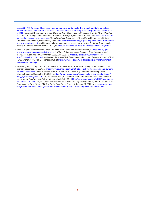<span id="page-7-0"></span>[news/2021-1799-maryland-legislation-requires-the-governor-to-bolster-the-ui-trust-fund-balance-to-lower](https://taxnews.ey.com/news/2021-1799-maryland-legislation-requires-the-governor-to-bolster-the-ui-trust-fund-balance-to-lower-the-sui-tax-rate-schedule-for-2022-and-2023-federal-ui-loan-balance-repaid-avoiding-futa-credit-reduction-in-2022)[the-sui-tax-rate-schedule-for-2022-and-2023-federal-ui-loan-balance-repaid-avoiding-futa-credit-reduction](https://taxnews.ey.com/news/2021-1799-maryland-legislation-requires-the-governor-to-bolster-the-ui-trust-fund-balance-to-lower-the-sui-tax-rate-schedule-for-2022-and-2023-federal-ui-loan-balance-repaid-avoiding-futa-credit-reduction-in-2022)[in-2022;](https://taxnews.ey.com/news/2021-1799-maryland-legislation-requires-the-governor-to-bolster-the-ui-trust-fund-balance-to-lower-the-sui-tax-rate-schedule-for-2022-and-2023-federal-ui-loan-balance-repaid-avoiding-futa-credit-reduction-in-2022) Maryland Department of Labor, *Governor Larry Hogan Issues Executive Order to Waive Charging of COVID-19 Unemployment Insurance Benefits to Employers*, December 10, 2020, at [https://www.dllr.state.](https://www.dllr.state.md.us/whatsnews/uiexprateeo.shtml) [md.us/whatsnews/uiexprateeo.shtml;](https://www.dllr.state.md.us/whatsnews/uiexprateeo.shtml) Texas Workforce Commission, *Texas Pays Off Loan from Federal Unemployment Account*, November 9, 2021, at [https://www.uwcstrategy.org/texas-pays-off-loan-from-federal](https://www.uwcstrategy.org/texas-pays-off-loan-from-federal-unemployment-account/)[unemployment-account/](https://www.uwcstrategy.org/texas-pays-off-loan-from-federal-unemployment-account/); and Minnesota Legislature, *House passes bill to replenish UI trust fund, provide checks to frontline workers*, April 25, 2022, at [https://www.house.leg.state.mn.us/sessiondaily/Story/17402.](https://www.house.leg.state.mn.us/sessiondaily/Story/17402)

- [12](#page-5-0) New York State Department of Labor, *Unemployment Insurance Rate Information*, at [https://dol.ny.gov/](https://dol.ny.gov/unemployment-insurance-rate-information) [unemployment-insurance-rate-information](https://dol.ny.gov/unemployment-insurance-rate-information) (2022); U.S. Department of Treasury, *State Unemployment Insurance Trust Fund Solvency Report 2022*, April 2022, at [https://oui.doleta.gov/unemploy/docs/](https://oui.doleta.gov/unemploy/docs/trustFundSolvReport2022.pdf) [trustFundSolvReport2022.pdf](https://oui.doleta.gov/unemploy/docs/trustFundSolvReport2022.pdf); and Office of the New York State Comptroller, *Unemployment Insurance Trust Fund: Challenges Ahead*, September 2021, at [https://www.osc.state.ny.us/files/reports/pdf/unemployment](https://www.osc.state.ny.us/files/reports/pdf/unemployment-insurance-trust-fund.pdf)[insurance-trust-fund.pdf](https://www.osc.state.ny.us/files/reports/pdf/unemployment-insurance-trust-fund.pdf).
- [13](#page-5-0) Governing and Chicago Tribune (Dan Petrella), *8 States Ask for Freeze on Unemployment Benefits Loan Interest*, December 15, 2021, at [https://www.governing.com/work/8-states-ask-for-freeze-on-unemployment](https://www.governing.com/work/8-states-ask-for-freeze-on-unemployment-benefits-loan-interest)[benefits-loan-interest](https://www.governing.com/work/8-states-ask-for-freeze-on-unemployment-benefits-loan-interest); letter from New York State Senate and Assembly members to Majority Leader Charles Schumer, September 17, 2021, at [https://www.nysenate.gov/sites/default/files/article/attachment/](https://www.nysenate.gov/sites/default/files/article/attachment/final_ui_extension_letter.pdf) [final\\_ui\\_extension\\_letter.pdf](https://www.nysenate.gov/sites/default/files/article/attachment/final_ui_extension_letter.pdf); U.S. Senate Bill 3760, *Continued Waiver of Interest on State Unemployment Loans during the Pandemic Act*, introduced March 3, 2022, at [https://www.congress.gov/bill/117th-congress/](https://www.congress.gov/bill/117th-congress/senate-bill/3760/text) [senate-bill/3760/text;](https://www.congress.gov/bill/117th-congress/senate-bill/3760/text) and, National Association of State Workforce Agencies (NASWA), *Letter of Support for Congressmen Davis' Interest Waiver for UI Trust Funds Proposal*, January 20, 2022, at [https://www.naswa.](https://www.naswa.org/government-relations/congressional-testimony/letter-of-support-for-congressman-davis-interest) [org/government-relations/congressional-testimony/letter-of-support-for-congressman-davis-interest](https://www.naswa.org/government-relations/congressional-testimony/letter-of-support-for-congressman-davis-interest).